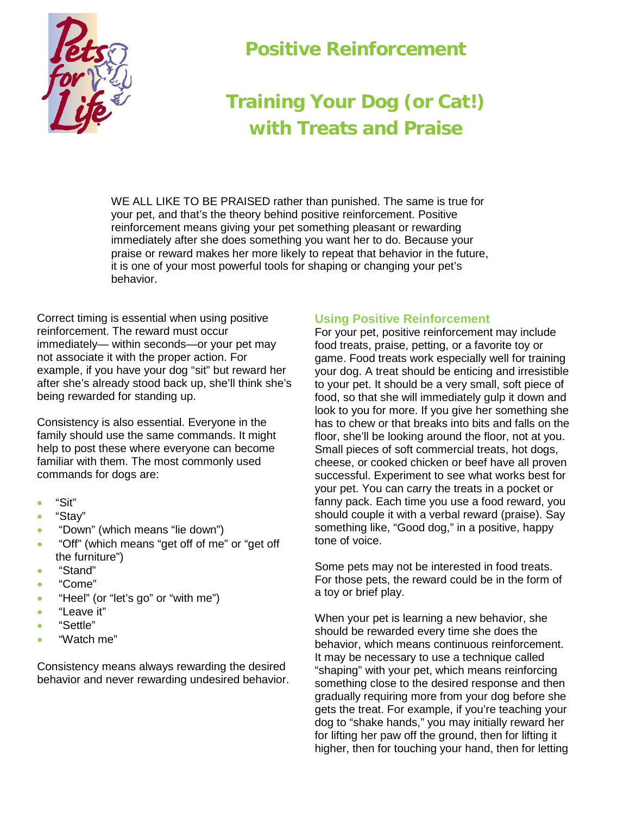

## **Positive Reinforcement**

## **Training Your Dog (or Cat!) with Treats and Praise**

WE ALL LIKE TO BE PRAISED rather than punished. The same is true for your pet, and that's the theory behind positive reinforcement. Positive reinforcement means giving your pet something pleasant or rewarding immediately after she does something you want her to do. Because your praise or reward makes her more likely to repeat that behavior in the future, it is one of your most powerful tools for shaping or changing your pet's behavior.

Correct timing is essential when using positive reinforcement. The reward must occur immediately— within seconds—or your pet may not associate it with the proper action. For example, if you have your dog "sit" but reward her after she's already stood back up, she'll think she's being rewarded for standing up.

Consistency is also essential. Everyone in the family should use the same commands. It might help to post these where everyone can become familiar with them. The most commonly used commands for dogs are:

- "Sit"
- "Stay"
- "Down" (which means "lie down")
- "Off" (which means "get off of me" or "get off the furniture")
- "Stand"
- "Come"
- "Heel" (or "let's go" or "with me")
- "Leave it"
- "Settle"
- "Watch me"

Consistency means always rewarding the desired behavior and never rewarding undesired behavior.

## **Using Positive Reinforcement**

For your pet, positive reinforcement may include food treats, praise, petting, or a favorite toy or game. Food treats work especially well for training your dog. A treat should be enticing and irresistible to your pet. It should be a very small, soft piece of food, so that she will immediately gulp it down and look to you for more. If you give her something she has to chew or that breaks into bits and falls on the floor, she'll be looking around the floor, not at you. Small pieces of soft commercial treats, hot dogs, cheese, or cooked chicken or beef have all proven successful. Experiment to see what works best for your pet. You can carry the treats in a pocket or fanny pack. Each time you use a food reward, you should couple it with a verbal reward (praise). Say something like, "Good dog," in a positive, happy tone of voice.

Some pets may not be interested in food treats. For those pets, the reward could be in the form of a toy or brief play.

When your pet is learning a new behavior, she should be rewarded every time she does the behavior, which means continuous reinforcement. It may be necessary to use a technique called "shaping" with your pet, which means reinforcing something close to the desired response and then gradually requiring more from your dog before she gets the treat. For example, if you're teaching your dog to "shake hands," you may initially reward her for lifting her paw off the ground, then for lifting it higher, then for touching your hand, then for letting